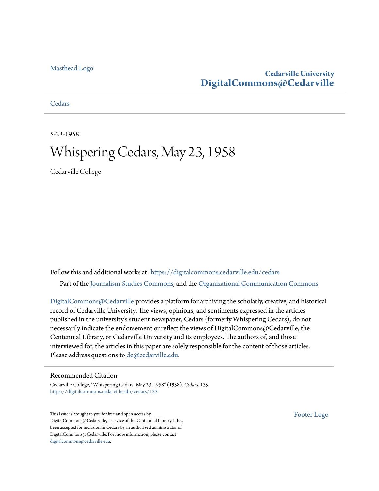### **Cedarville University [DigitalCommons@Cedarville](https://digitalcommons.cedarville.edu?utm_source=digitalcommons.cedarville.edu%2Fcedars%2F135&utm_medium=PDF&utm_campaign=PDFCoverPages)**

**[Cedars](https://digitalcommons.cedarville.edu/cedars?utm_source=digitalcommons.cedarville.edu%2Fcedars%2F135&utm_medium=PDF&utm_campaign=PDFCoverPages)** 

5-23-1958

# Whispering Cedars, May 23, 1958

Cedarville College

Follow this and additional works at: [https://digitalcommons.cedarville.edu/cedars](https://digitalcommons.cedarville.edu/cedars?utm_source=digitalcommons.cedarville.edu%2Fcedars%2F135&utm_medium=PDF&utm_campaign=PDFCoverPages) Part of the [Journalism Studies Commons](http://network.bepress.com/hgg/discipline/333?utm_source=digitalcommons.cedarville.edu%2Fcedars%2F135&utm_medium=PDF&utm_campaign=PDFCoverPages), and the [Organizational Communication Commons](http://network.bepress.com/hgg/discipline/335?utm_source=digitalcommons.cedarville.edu%2Fcedars%2F135&utm_medium=PDF&utm_campaign=PDFCoverPages)

[DigitalCommons@Cedarville](http://digitalcommons.cedarville.edu/) provides a platform for archiving the scholarly, creative, and historical record of Cedarville University. The views, opinions, and sentiments expressed in the articles published in the university's student newspaper, Cedars (formerly Whispering Cedars), do not necessarily indicate the endorsement or reflect the views of DigitalCommons@Cedarville, the Centennial Library, or Cedarville University and its employees. The authors of, and those interviewed for, the articles in this paper are solely responsible for the content of those articles. Please address questions to [dc@cedarville.edu.](mailto:dc@cedarville.edu)

#### Recommended Citation

Cedarville College, "Whispering Cedars, May 23, 1958" (1958). *Cedars*. 135. [https://digitalcommons.cedarville.edu/cedars/135](https://digitalcommons.cedarville.edu/cedars/135?utm_source=digitalcommons.cedarville.edu%2Fcedars%2F135&utm_medium=PDF&utm_campaign=PDFCoverPages)

This Issue is brought to you for free and open access by DigitalCommons@Cedarville, a service of the Centennial Library. It has been accepted for inclusion in Cedars by an authorized administrator of DigitalCommons@Cedarville. For more information, please contact [digitalcommons@cedarville.edu](mailto:digitalcommons@cedarville.edu).

[Footer Logo](http://www.cedarville.edu/Academics/Library.aspx?utm_source=digitalcommons.cedarville.edu%2Fcedars%2F135&utm_medium=PDF&utm_campaign=PDFCoverPages)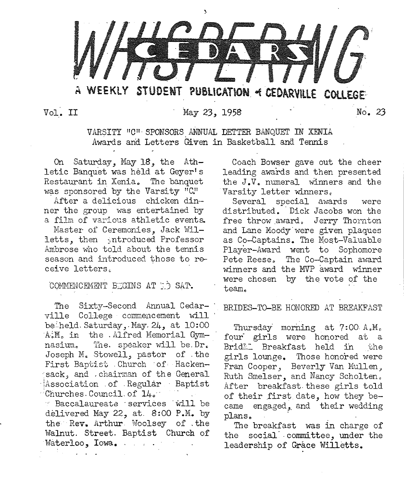

Vol. II May 23, 1958 No. 23

VARSITY 11C<sup>11</sup> ·SPONSORS ANNUAL DETTER BANQUET IN XENIA Awards and Letters Given in Basketball and Tennis

On Saturday, May 18, the Athletic Banquet was held at Geyer's Restaurant in Xenia. The banquet was sponsored by the Varsity "C."

After a delicious chicken din· ner the group was entertained by a film of various athletic event&

Master of Ceremonies. Jack Willetts, then introduced Professor Ambrose who told about the tennis season and introduced those to receive letters.

COMMENCEMENT BEGINS AT TO SAT.

The Sixty-Second Annual Cedarville College commencement will be'held. Saturday.,.May, 24, at 10:00 A.M. in the . Alfred Memorial Gymnasium. The. speaker will be. Dr. Joseph M. Stowell, pastor of the First Baptist . Church of Hackensack, and , chairman of the General Association of Regular Baptist  $\cdot$ <sup>'</sup>Churches. Council. of  $140^{\circ}$  $\leq$  Baccalaureate ·services  $\leq$  will be delivered May 22, at. 8:00 P.M. by the Rev. Arthur Woolsey of the Walnut. Street. Baptist Church of

Waterloo, Iowa.

Coaqh Bowser gave out the cheer leading awards and then presented the J.V. numeral winners and the Varsity letter winners.

Several special awards were distributed. ·Dick Jacobs won the free throw award, Jerry Thornton and Lane Moody were given plaques as Co-Captains. The Most-Valuable Player-Award went to Sophomore Pete Reese. The Co-Captain award winners and the MVP award winner were chosen by the vote of the team.

#### BRIDES-TO-BE HONORED AT BREAKFAST

Thursday morning at  $7:00A.M_c$ four girls were honored at a Bridt: Breakfast held in the girls lounge. Those honored were Fran Cooper, Beverly Van Mullen, Ruth Smelser, and Nancy Scholten. After breakfast these girls told of their first date, how they became engaged, and their wedding plans.

The breakfast was in charge of the social committee, under the leadership of Grace Willetts.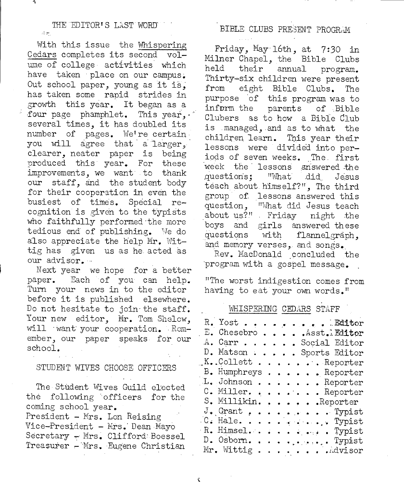#### THE EDITOR'S LAST WORD  $\Delta\approx$

A

With this issue the Whispering Cedars completes its second volume of college activities which have taken place on our campus. Out school paper, young as it is, has taken some rapid strides in growth this year. It began as <sup>a</sup> four page phamphlet. This year, .. several times, it has doubled its number of pages. We're certain you will agree that a larger, clearer, neater paper is being produced this year. For these improvements, we want to thank our staff, and the student body for their cooperation in even the busiest of times. Special recognition is given to the typists who faithfully performed the more tedious end of publishing. We do also appreciate the help Mr. Wittig has given us as he acted as our advisor. ··

Next year we hope for a better paper. Each of you can help. Turn your news in to the editor before it is published elsewhere. Do not hesitate to join the staff. Your new editor, Mr. Tom Shelow, will want your cooperation. Remember, our paper speaks for our school.

#### STUDENT WIVES CHOOSE OFFICERS

The Student Wives Guild elected the following ·officers for the coming school year. President - Mrs. Lon Reising Vice-President - Mrs. Dean Mayo Secretary - Mrs. Clifford: Boessel Treasurer - Mrs. Eugene Christian

#### BIBLE CLUBS PRESENT PROGRAM

Friday, May 16th, at 7:30 in Mi1ner Chapel, the Bible Clubs held their annual program. Thirty~six children were present from eight Bible Clubs. The purpose of this program was to inform the parents of Bible Clubers as to how a Bible Club is managed, .and as to what the children learn. This year their lessons were divided into periods of seven weeks. The first week the lessons answered the questions; "What did Jesus teach about himself?", The third group of. lessons answered this<br>question. "What did Jesus teach "What did Jesus teach about us?" Friday night the boys and girls answered these questions with flannelgraph. and memory verses, and songs.

Rev. MacDonald concluded the program with a gospel message.

''The worst indigestion comes from having to eat your own words."

#### WHISPERING CEDARS STAFF

| R. Yost Bditor                                                                                |
|-----------------------------------------------------------------------------------------------|
| E. Chesebro Asst. Editor                                                                      |
| A. Carr Social Editor                                                                         |
| D. Matson Sports Editor                                                                       |
| $K_{\bullet}$ .Collett $\bullet$ $\bullet$ $\bullet$ $\bullet$ $\bullet$ $\bullet$ . Reporter |
| B. Humphreys Reporter                                                                         |
| L. Johnson Reporter                                                                           |
| C. Miller. Reporter                                                                           |
| S. Millikin. Reporter                                                                         |
| $J$ . Grant Typist                                                                            |
| $C.$ Hale. Typist                                                                             |
| R. Himsel. Typist                                                                             |
| D. Osborn. Typist                                                                             |
| Mr. Wittig Advisor                                                                            |

¢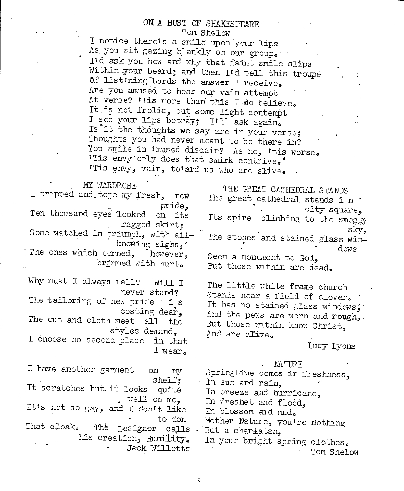## ON A BUST OF SHAKESPEARE

Tom Shelow<br>I notice there's a smile upon your lips As you sit gazing blankly on our group.<br>Itd ask you how and why that faint smile slips<br>Within :your beard; and then Itd tell this troupe<br>Of list ining "bards the answer I receive.<br>Are you amused to hear our vain attempt At verse? 'Tis more than this I do believe.<br>It is not frolic, but some light contempt<br>I see your lips betray; I'll ask again.<br>Is it the thoughts we say are in your verse;<br>Thoughts you had never meant to be there in?<br>You sm

#### MY WARDROBE

I tripped and tore my fresh, new pride,<br>Ten thousand eyes looked on its ... ragged skirt;<br>-.Some watched in triumph, with all knowing sighs, The ones which burned, however, brimmed with hurt. Why must I always fall? Will I never stand? The tailoring of new pride is costing dear,<br>The cut and cloth meet all the styles demand, I choose no second place in that  $I$  wear. I have another garment on my shelf;<br>It scratches but it looks quite • well on me, It's not so gay, and I dontt like to don That cloak. The Designer calls his creation, Humility. Jack Willetts THE GREAT CATHEDRAL STANDS The great cathedral stands i n  $\cdot$  . City square, Its spire climbing to the smoggy sky,<br>The stones and stained glass win-• **do~s**  Seem a monument to God, But those within are dead. The little white frame church Stands near a field of clover.<br>It has no stained glass windows; And the pews are worn and rough,<br>But those within know Christ, .<br>And are alive. Lucy Lyons  $M\Lambda$ TURE Springtime comes in freshness, In sun and rain. In breeze and hurricane, In freshet and flood, In blossom and mud. Mother Nature, youtre nothing But a charlatan, In your bright spring clothes. Tom Shelow

K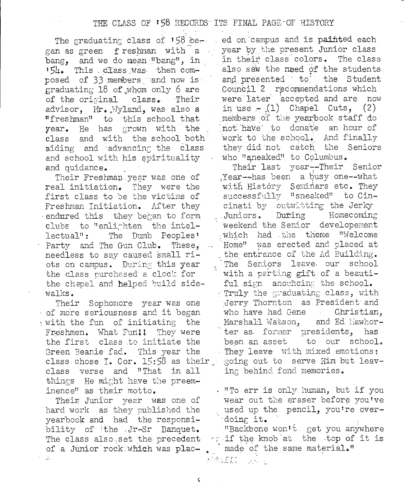The graduating class of 158 be gan as green freshman with a bang, and we do mean "bang", in '54. This class was then composed of 33 members and now is graduating 18 of whom only 6 are of the original class. Their advisor, Mr. Wyland, was also a "freshman" to this school that year. He has grown with the class and with the school both aiding and advancing the class and school with his spirituality and quidance.

Their Freshman year was one of real initiation. They were the first class to be the victims of Freshman Initiation. After they endured this they began to form clubs to "enlighten the intel-The Dumb Peoples<sup>1</sup> lectual": Party and The Gun Club. These, needless to say caused small riots on campus. During this year the class purchased a clock for the chapel and helped build sidewalks.

Their Sophomore year was one of more seriousness and it began with the fun of initiating the Freshmen. What Fun!! They were the first class to initiate the Green Beanie fad. This year the class chose I. Cor. 15:58 as their class verse and "That in all things He might have the preeminence" as their motto.

Their Junior year was one of hard work as they published the yearbook and had the responsibility of the Jr-Sr Banquet. The class also set the precedent of a Junior rock which was plac- $\mathcal{I}_\mu$ 

ed on campus and is painted each year by the present Junior class in their class colors. The class also saw the need of the students and presented to the Student Council 2 recommendations which were later accepted and are now in use  $-(1)$  Chapel Cuts, (2) members of the yearbook staff do not have to donate an hour of work to the school. And finally they did not catch the Seniors who "sneaked" to Columbus.

Their last year--Their Senior Year--has been a busy one--what with History Seminars etc. They successfully "sneaked" to Cincinati by outwitting the Jerky Juniors. During Homecoming weekend the Senior developement which had the theme "Welcome Home" was erected and placed at the entrance of the Ad Building. The Seniors leave our school with a parting gift of a beautiful sign anouncing the school. Truly the graduating class, with Jerry Thornton as President and who have had Gene Christian, Marshall Watson, and Ed liawhorter as former presidents, has been an asset to our school. They leave with mixed emotions: going out to serve Him but leaving behind fond memories.

. "To err is only human, but if you wear out the eraser before you've used up the pencil, you're overdoing it.

"Backbone won't get you anywhere wraif the knob at the top of it is made of the same material."

K

**WAITE** Service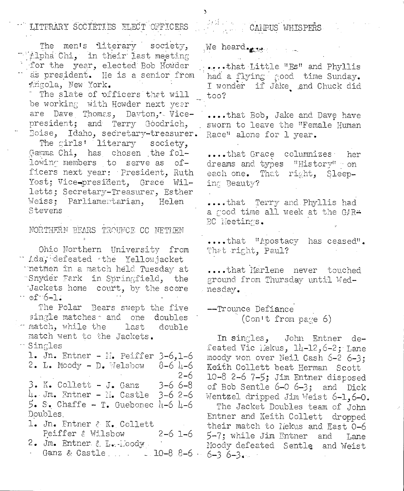LITERARY SOCIETIES ELECT OFFICERS

The men's literary society, " Alpha Chi, in their last meeting for the year, elected Bob Howder as president. He is a senior from Angola, New York.

The slate of officers that will be working with Howder next year are Dave Thomas, Dayton, Vicepresident; and Terry Goodrich, Boise, Idaho, secretary-treasurer.

The girls' literary society, Gamma Chi, has chosen the following members to serve as officers next year: President, Ruth Yost; Vice-president, Grace Willetts; Secretary-Treasurer, Esther Weiss; Parliamentarian, Helen Stevens

NORTHERN BEARS TROUNCE CC NETIEN

Ohio Northern University from Ada, defeated the Yellowjacket metmen in a match held Tuesday at "Snyder Fark in Springfield, the Jackets home court, by the score … of 6+l.

The Polar Bears swept the five single matches and one doubles match, while the last double match went to the Jackets. <sup>"</sup> Singles

1. Jn. Entner - M. Peiffer 3-6,1-6 2. L. Moody - D. Welshow  $8-6$  4-6  $2 - 6$ 3. K. Collett - J. Ganz 3-6 6-8  $4.$  Jm. Entner - N. Castle  $3-6$  2-6  $5.$  S. Chaffe - T. Guebonec 4-6 4-6 Doubles 1. Jn. Entner & K. Collett

Peiffer & Wilsbow  $2 - 6$  1-6 2. Jm. Entner & L. Moody

Ganz & Castle  $\ldots$  10-8 8-6.

ਕਾਬੋ ਵਾਲ CALPUS WHISPERS

We heard.

....that Little "Es" and Phyllis had a flying good time Sunday. I wonder if Jake and Chuck did too?

....that Bob, Jake and Dave have sworn to leave the "Female Human Race" alone for 1 year.

....that Grace columnizes her dreams and types "History" on each one. That right, Sleeping Beauty?

....that Terry and Phyllis had a good time all week at the GAR\* BC Meetings.

....that "Apostacy has ceased". That right, Paul?

....that Marlene never touched ground from Thursday until Wednesday.

--Trounce Defiance (Con't from page 6)

In singles, John Entner defeated Vic Mekus, 14-12, 6-2; Lane moody won over Neil Cash 6-2 6-3: Keith Collett beat Herman Scott 10-8 2-6 7-5; Jim Entner disposed of Bob Sentle 6-0 6-3; and Dick Wentzel dripped Jim Weist 6-1.6-0. The Jacket Doubles team of John

Entner and Keith Collett dropped their match to liekus and East 0-6 5-7; while Jim Entner and Lane Noody defeated Sentle and Weist  $6 - 3$   $6 - 3$   $\cdots$